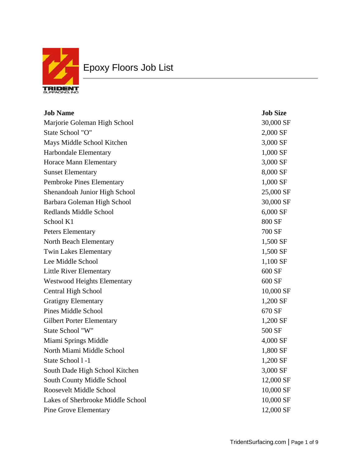

| <b>Job Name</b>                    | <b>Job Size</b> |
|------------------------------------|-----------------|
| Marjorie Goleman High School       | 30,000 SF       |
| State School "O"                   | 2,000 SF        |
| Mays Middle School Kitchen         | 3,000 SF        |
| Harbondale Elementary              | 1,000 SF        |
| Horace Mann Elementary             | 3,000 SF        |
| <b>Sunset Elementary</b>           | 8,000 SF        |
| Pembroke Pines Elementary          | 1,000 SF        |
| Shenandoah Junior High School      | 25,000 SF       |
| Barbara Goleman High School        | 30,000 SF       |
| <b>Redlands Middle School</b>      | 6,000 SF        |
| School K1                          | 800 SF          |
| <b>Peters Elementary</b>           | 700 SF          |
| North Beach Elementary             | 1,500 SF        |
| <b>Twin Lakes Elementary</b>       | 1,500 SF        |
| Lee Middle School                  | 1,100 SF        |
| <b>Little River Elementary</b>     | 600 SF          |
| <b>Westwood Heights Elementary</b> | 600 SF          |
| <b>Central High School</b>         | 10,000 SF       |
| <b>Gratigny Elementary</b>         | 1,200 SF        |
| <b>Pines Middle School</b>         | 670 SF          |
| <b>Gilbert Porter Elementary</b>   | 1,200 SF        |
| State School "W"                   | 500 SF          |
| Miami Springs Middle               | 4,000 SF        |
| North Miami Middle School          | 1,800 SF        |
| State School 1-1                   | 1,200 SF        |
| South Dade High School Kitchen     | 3,000 SF        |
| South County Middle School         | 12,000 SF       |
| Roosevelt Middle School            | 10,000 SF       |
| Lakes of Sherbrooke Middle School  | 10,000 SF       |
| <b>Pine Grove Elementary</b>       | 12,000 SF       |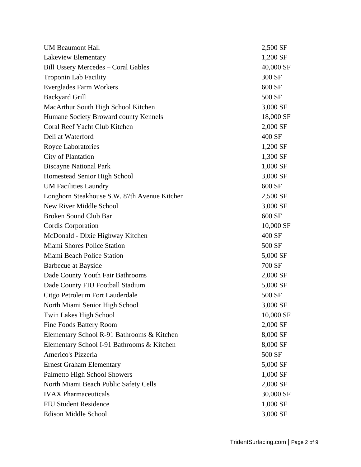| <b>UM Beaumont Hall</b>                      | 2,500 SF  |
|----------------------------------------------|-----------|
| Lakeview Elementary                          | 1,200 SF  |
| <b>Bill Ussery Mercedes - Coral Gables</b>   | 40,000 SF |
| <b>Troponin Lab Facility</b>                 | 300 SF    |
| <b>Everglades Farm Workers</b>               | 600 SF    |
| <b>Backyard Grill</b>                        | 500 SF    |
| MacArthur South High School Kitchen          | 3,000 SF  |
| Humane Society Broward county Kennels        | 18,000 SF |
| Coral Reef Yacht Club Kitchen                | 2,000 SF  |
| Deli at Waterford                            | 400 SF    |
| Royce Laboratories                           | 1,200 SF  |
| City of Plantation                           | 1,300 SF  |
| <b>Biscayne National Park</b>                | 1,000 SF  |
| Homestead Senior High School                 | 3,000 SF  |
| <b>UM Facilities Laundry</b>                 | 600 SF    |
| Longhorn Steakhouse S.W. 87th Avenue Kitchen | 2,500 SF  |
| <b>New River Middle School</b>               | 3,000 SF  |
| Broken Sound Club Bar                        | 600 SF    |
| Cordis Corporation                           | 10,000 SF |
| McDonald - Dixie Highway Kitchen             | 400 SF    |
| <b>Miami Shores Police Station</b>           | 500 SF    |
| Miami Beach Police Station                   | 5,000 SF  |
| Barbecue at Bayside                          | 700 SF    |
| Dade County Youth Fair Bathrooms             | 2,000 SF  |
| Dade County FIU Football Stadium             | 5,000 SF  |
| Citgo Petroleum Fort Lauderdale              | 500 SF    |
| North Miami Senior High School               | 3,000 SF  |
| Twin Lakes High School                       | 10,000 SF |
| <b>Fine Foods Battery Room</b>               | 2,000 SF  |
| Elementary School R-91 Bathrooms & Kitchen   | 8,000 SF  |
| Elementary School I-91 Bathrooms & Kitchen   | 8,000 SF  |
| Americo's Pizzeria                           | 500 SF    |
| <b>Ernest Graham Elementary</b>              | 5,000 SF  |
| <b>Palmetto High School Showers</b>          | 1,000 SF  |
| North Miami Beach Public Safety Cells        | 2,000 SF  |
| <b>IVAX Pharmaceuticals</b>                  | 30,000 SF |
| <b>FIU Student Residence</b>                 | 1,000 SF  |
| Edison Middle School                         | 3,000 SF  |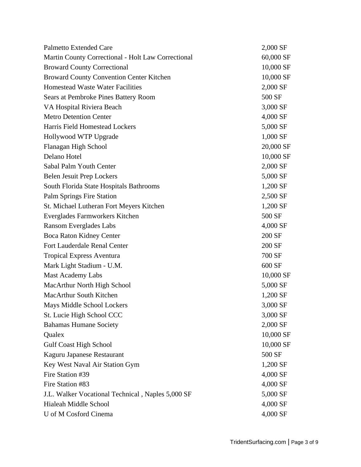| <b>Palmetto Extended Care</b>                      | 2,000 SF  |
|----------------------------------------------------|-----------|
| Martin County Correctional - Holt Law Correctional | 60,000 SF |
| <b>Broward County Correctional</b>                 | 10,000 SF |
| <b>Broward County Convention Center Kitchen</b>    | 10,000 SF |
| <b>Homestead Waste Water Facilities</b>            | 2,000 SF  |
| Sears at Pembroke Pines Battery Room               | 500 SF    |
| VA Hospital Riviera Beach                          | 3,000 SF  |
| <b>Metro Detention Center</b>                      | 4,000 SF  |
| Harris Field Homestead Lockers                     | 5,000 SF  |
| Hollywood WTP Upgrade                              | 1,000 SF  |
| Flanagan High School                               | 20,000 SF |
| Delano Hotel                                       | 10,000 SF |
| Sabal Palm Youth Center                            | 2,000 SF  |
| <b>Belen Jesuit Prep Lockers</b>                   | 5,000 SF  |
| South Florida State Hospitals Bathrooms            | 1,200 SF  |
| Palm Springs Fire Station                          | 2,500 SF  |
| St. Michael Lutheran Fort Meyers Kitchen           | 1,200 SF  |
| Everglades Farmworkers Kitchen                     | 500 SF    |
| Ransom Everglades Labs                             | 4,000 SF  |
| Boca Raton Kidney Center                           | 200 SF    |
| Fort Lauderdale Renal Center                       | 200 SF    |
| <b>Tropical Express Aventura</b>                   | 700 SF    |
| Mark Light Stadium - U.M.                          | 600 SF    |
| <b>Mast Academy Labs</b>                           | 10,000 SF |
| MacArthur North High School                        | 5,000 SF  |
| MacArthur South Kitchen                            | 1,200 SF  |
| Mays Middle School Lockers                         | 3,000 SF  |
| St. Lucie High School CCC                          | 3,000 SF  |
| <b>Bahamas Humane Society</b>                      | 2,000 SF  |
| Qualex                                             | 10,000 SF |
| <b>Gulf Coast High School</b>                      | 10,000 SF |
| Kaguru Japanese Restaurant                         | 500 SF    |
| Key West Naval Air Station Gym                     | 1,200 SF  |
| Fire Station #39                                   | 4,000 SF  |
| Fire Station #83                                   | 4,000 SF  |
| J.L. Walker Vocational Technical, Naples 5,000 SF  | 5,000 SF  |
| Hialeah Middle School                              | 4,000 SF  |
| U of M Cosford Cinema                              | 4,000 SF  |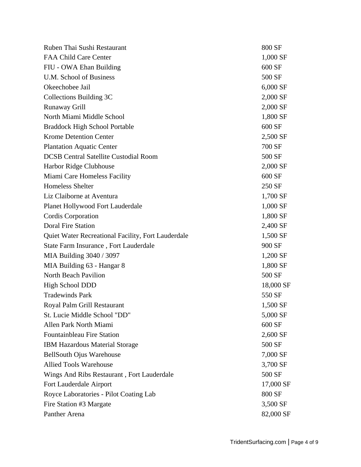| Ruben Thai Sushi Restaurant                        | 800 SF    |
|----------------------------------------------------|-----------|
| FAA Child Care Center                              | 1,000 SF  |
| FIU - OWA Ehan Building                            | 600 SF    |
| U.M. School of Business                            | 500 SF    |
| Okeechobee Jail                                    | 6,000 SF  |
| Collections Building 3C                            | 2,000 SF  |
| Runaway Grill                                      | 2,000 SF  |
| North Miami Middle School                          | 1,800 SF  |
| <b>Braddock High School Portable</b>               | 600 SF    |
| <b>Krome Detention Center</b>                      | 2,500 SF  |
| <b>Plantation Aquatic Center</b>                   | 700 SF    |
| <b>DCSB Central Satellite Custodial Room</b>       | 500 SF    |
| Harbor Ridge Clubhouse                             | 2,000 SF  |
| Miami Care Homeless Facility                       | 600 SF    |
| <b>Homeless Shelter</b>                            | 250 SF    |
| Liz Claiborne at Aventura                          | 1,700 SF  |
| Planet Hollywood Fort Lauderdale                   | 1,000 SF  |
| Cordis Corporation                                 | 1,800 SF  |
| <b>Doral Fire Station</b>                          | 2,400 SF  |
| Quiet Water Recreational Facility, Fort Lauderdale | 1,500 SF  |
| State Farm Insurance, Fort Lauderdale              | 900 SF    |
| MIA Building 3040 / 3097                           | 1,200 SF  |
| MIA Building 63 - Hangar 8                         | 1,800 SF  |
| North Beach Pavilion                               | 500 SF    |
| High School DDD                                    | 18,000 SF |
| <b>Tradewinds Park</b>                             | 550 SF    |
| Royal Palm Grill Restaurant                        | 1,500 SF  |
| St. Lucie Middle School "DD"                       | 5,000 SF  |
| Allen Park North Miami                             | 600 SF    |
| <b>Fountainbleau Fire Station</b>                  | 2,600 SF  |
| <b>IBM Hazardous Material Storage</b>              | 500 SF    |
| <b>BellSouth Ojus Warehouse</b>                    | 7,000 SF  |
| <b>Allied Tools Warehouse</b>                      | 3,700 SF  |
| Wings And Ribs Restaurant, Fort Lauderdale         | 500 SF    |
| Fort Lauderdale Airport                            | 17,000 SF |
| Royce Laboratories - Pilot Coating Lab             | 800 SF    |
| Fire Station #3 Margate                            | 3,500 SF  |
| Panther Arena                                      | 82,000 SF |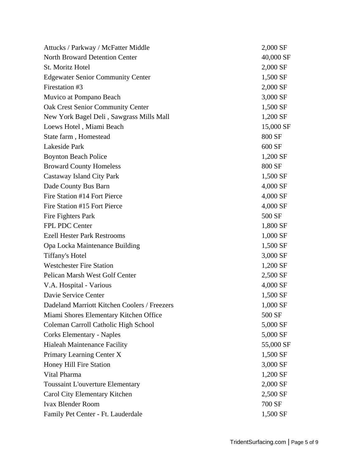| Attucks / Parkway / McFatter Middle          | 2,000 SF  |
|----------------------------------------------|-----------|
| <b>North Broward Detention Center</b>        | 40,000 SF |
| St. Moritz Hotel                             | 2,000 SF  |
| <b>Edgewater Senior Community Center</b>     | 1,500 SF  |
| Firestation #3                               | 2,000 SF  |
| Muvico at Pompano Beach                      | 3,000 SF  |
| <b>Oak Crest Senior Community Center</b>     | 1,500 SF  |
| New York Bagel Deli, Sawgrass Mills Mall     | 1,200 SF  |
| Loews Hotel, Miami Beach                     | 15,000 SF |
| State farm, Homestead                        | 800 SF    |
| Lakeside Park                                | 600 SF    |
| <b>Boynton Beach Police</b>                  | 1,200 SF  |
| <b>Broward County Homeless</b>               | 800 SF    |
| <b>Castaway Island City Park</b>             | 1,500 SF  |
| Dade County Bus Barn                         | 4,000 SF  |
| Fire Station #14 Fort Pierce                 | 4,000 SF  |
| Fire Station #15 Fort Pierce                 | 4,000 SF  |
| Fire Fighters Park                           | 500 SF    |
| FPL PDC Center                               | 1,800 SF  |
| <b>Ezell Hester Park Restrooms</b>           | 1,000 SF  |
| Opa Locka Maintenance Building               | 1,500 SF  |
| <b>Tiffany's Hotel</b>                       | 3,000 SF  |
| <b>Westchester Fire Station</b>              | 1,200 SF  |
| Pelican Marsh West Golf Center               | 2,500 SF  |
| V.A. Hospital - Various                      | 4,000 SF  |
| Davie Service Center                         | 1,500 SF  |
| Dadeland Marriott Kitchen Coolers / Freezers | 1,000 SF  |
| Miami Shores Elementary Kitchen Office       | 500 SF    |
| Coleman Carroll Catholic High School         | 5,000 SF  |
| <b>Corks Elementary - Naples</b>             | 5,000 SF  |
| <b>Hialeah Maintenance Facility</b>          | 55,000 SF |
| Primary Learning Center X                    | 1,500 SF  |
| Honey Hill Fire Station                      | 3,000 SF  |
| Vital Pharma                                 | 1,200 SF  |
| <b>Toussaint L'ouverture Elementary</b>      | 2,000 SF  |
| Carol City Elementary Kitchen                | 2,500 SF  |
| <b>Ivax Blender Room</b>                     | 700 SF    |
| Family Pet Center - Ft. Lauderdale           | 1,500 SF  |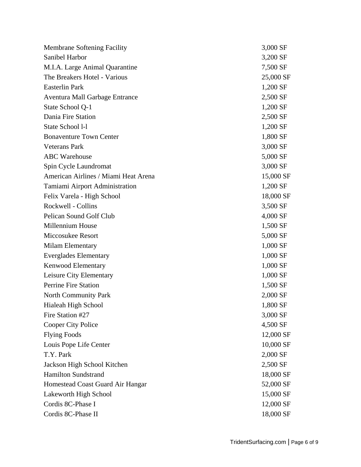| <b>Membrane Softening Facility</b>   | 3,000 SF  |
|--------------------------------------|-----------|
| Sanibel Harbor                       | 3,200 SF  |
| M.I.A. Large Animal Quarantine       | 7,500 SF  |
| The Breakers Hotel - Various         | 25,000 SF |
| <b>Easterlin Park</b>                | 1,200 SF  |
| Aventura Mall Garbage Entrance       | 2,500 SF  |
| State School Q-1                     | 1,200 SF  |
| Dania Fire Station                   | 2,500 SF  |
| State School 1-1                     | 1,200 SF  |
| <b>Bonaventure Town Center</b>       | 1,800 SF  |
| <b>Veterans Park</b>                 | 3,000 SF  |
| <b>ABC</b> Warehouse                 | 5,000 SF  |
| Spin Cycle Laundromat                | 3,000 SF  |
| American Airlines / Miami Heat Arena | 15,000 SF |
| Tamiami Airport Administration       | 1,200 SF  |
| Felix Varela - High School           | 18,000 SF |
| Rockwell - Collins                   | 3,500 SF  |
| Pelican Sound Golf Club              | 4,000 SF  |
| Millennium House                     | 1,500 SF  |
| Miccosukee Resort                    | 5,000 SF  |
| Milam Elementary                     | 1,000 SF  |
| <b>Everglades Elementary</b>         | 1,000 SF  |
| Kenwood Elementary                   | 1,000 SF  |
| Leisure City Elementary              | 1,000 SF  |
| Perrine Fire Station                 | 1,500 SF  |
| North Community Park                 | 2,000 SF  |
| Hialeah High School                  | 1,800 SF  |
| Fire Station #27                     | 3,000 SF  |
| Cooper City Police                   | 4,500 SF  |
| <b>Flying Foods</b>                  | 12,000 SF |
| Louis Pope Life Center               | 10,000 SF |
| T.Y. Park                            | 2,000 SF  |
| Jackson High School Kitchen          | 2,500 SF  |
| Hamilton Sundstrand                  | 18,000 SF |
| Homestead Coast Guard Air Hangar     | 52,000 SF |
| Lakeworth High School                | 15,000 SF |
| Cordis 8C-Phase I                    | 12,000 SF |
| Cordis 8C-Phase II                   | 18,000 SF |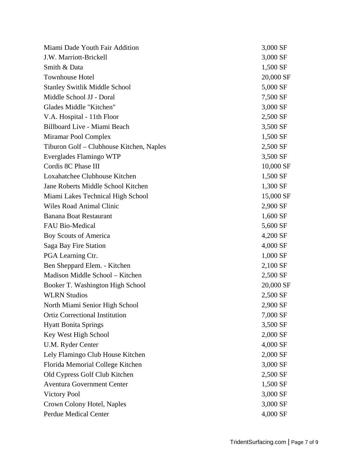| Miami Dade Youth Fair Addition           | 3,000 SF  |
|------------------------------------------|-----------|
| J.W. Marriott-Brickell                   | 3,000 SF  |
| Smith & Data                             | 1,500 SF  |
| Townhouse Hotel                          | 20,000 SF |
| <b>Stanley Switlik Middle School</b>     | 5,000 SF  |
| Middle School JJ - Doral                 | 7,500 SF  |
| Glades Middle "Kitchen"                  | 3,000 SF  |
| V.A. Hospital - 11th Floor               | 2,500 SF  |
| Billboard Live - Miami Beach             | 3,500 SF  |
| Miramar Pool Complex                     | 1,500 SF  |
| Tiburon Golf – Clubhouse Kitchen, Naples | 2,500 SF  |
| Everglades Flamingo WTP                  | 3,500 SF  |
| Cordis 8C Phase III                      | 10,000 SF |
| Loxahatchee Clubhouse Kitchen            | 1,500 SF  |
| Jane Roberts Middle School Kitchen       | 1,300 SF  |
| Miami Lakes Technical High School        | 15,000 SF |
| <b>Wiles Road Animal Clinic</b>          | 2,900 SF  |
| <b>Banana Boat Restaurant</b>            | 1,600 SF  |
| <b>FAU Bio-Medical</b>                   | 5,600 SF  |
| Boy Scouts of America                    | 4,200 SF  |
| Saga Bay Fire Station                    | 4,000 SF  |
| PGA Learning Ctr.                        | 1,000 SF  |
| Ben Sheppard Elem. - Kitchen             | 2,100 SF  |
| Madison Middle School - Kitchen          | 2,500 SF  |
| Booker T. Washington High School         | 20,000 SF |
| <b>WLRN</b> Studios                      | 2,500 SF  |
| North Miami Senior High School           | 2,900 SF  |
| <b>Ortiz Correctional Institution</b>    | 7,000 SF  |
| <b>Hyatt Bonita Springs</b>              | 3,500 SF  |
| Key West High School                     | 2,000 SF  |
| U.M. Ryder Center                        | 4,000 SF  |
| Lely Flamingo Club House Kitchen         | 2,000 SF  |
| Florida Memorial College Kitchen         | 3,000 SF  |
| Old Cypress Golf Club Kitchen            | 2,500 SF  |
| <b>Aventura Government Center</b>        | 1,500 SF  |
| <b>Victory Pool</b>                      | 3,000 SF  |
| Crown Colony Hotel, Naples               | 3,000 SF  |
| Perdue Medical Center                    | 4,000 SF  |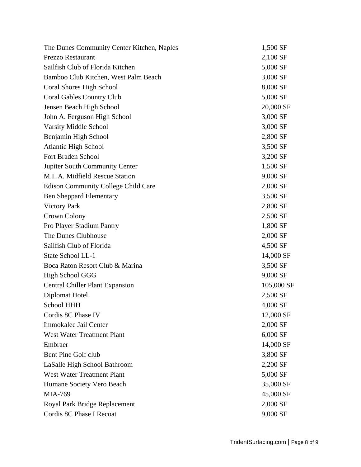| The Dunes Community Center Kitchen, Naples | 1,500 SF   |
|--------------------------------------------|------------|
| <b>Prezzo Restaurant</b>                   | 2,100 SF   |
| Sailfish Club of Florida Kitchen           | 5,000 SF   |
| Bamboo Club Kitchen, West Palm Beach       | 3,000 SF   |
| Coral Shores High School                   | 8,000 SF   |
| Coral Gables Country Club                  | 5,000 SF   |
| Jensen Beach High School                   | 20,000 SF  |
| John A. Ferguson High School               | 3,000 SF   |
| <b>Varsity Middle School</b>               | 3,000 SF   |
| Benjamin High School                       | 2,800 SF   |
| <b>Atlantic High School</b>                | 3,500 SF   |
| Fort Braden School                         | 3,200 SF   |
| Jupiter South Community Center             | 1,500 SF   |
| M.I. A. Midfield Rescue Station            | 9,000 SF   |
| <b>Edison Community College Child Care</b> | 2,000 SF   |
| <b>Ben Sheppard Elementary</b>             | 3,500 SF   |
| <b>Victory Park</b>                        | 2,800 SF   |
| Crown Colony                               | 2,500 SF   |
| Pro Player Stadium Pantry                  | 1,800 SF   |
| The Dunes Clubhouse                        | 2,000 SF   |
| Sailfish Club of Florida                   | 4,500 SF   |
| State School LL-1                          | 14,000 SF  |
| Boca Raton Resort Club & Marina            | 3,500 SF   |
| High School GGG                            | 9,000 SF   |
| <b>Central Chiller Plant Expansion</b>     | 105,000 SF |
| Diplomat Hotel                             | 2,500 SF   |
| School HHH                                 | 4,000 SF   |
| Cordis 8C Phase IV                         | 12,000 SF  |
| Immokalee Jail Center                      | 2,000 SF   |
| <b>West Water Treatment Plant</b>          | 6,000 SF   |
| Embraer                                    | 14,000 SF  |
| Bent Pine Golf club                        | 3,800 SF   |
| LaSalle High School Bathroom               | 2,200 SF   |
| <b>West Water Treatment Plant</b>          | 5,000 SF   |
| Humane Society Vero Beach                  | 35,000 SF  |
| MIA-769                                    | 45,000 SF  |
| Royal Park Bridge Replacement              | 2,000 SF   |
| Cordis 8C Phase I Recoat                   | 9,000 SF   |